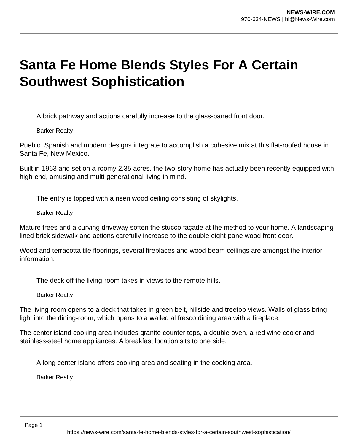## **Santa Fe Home Blends Styles For A Certain Southwest Sophistication**

A brick pathway and actions carefully increase to the glass-paned front door.

Barker Realty

Pueblo, Spanish and modern designs integrate to accomplish a cohesive mix at this flat-roofed house in Santa Fe, New Mexico.

Built in 1963 and set on a roomy 2.35 acres, the two-story home has actually been recently equipped with high-end, amusing and multi-generational living in mind.

The entry is topped with a risen wood ceiling consisting of skylights.

Barker Realty

Mature trees and a curving driveway soften the stucco façade at the method to your home. A landscaping lined brick sidewalk and actions carefully increase to the double eight-pane wood front door.

Wood and terracotta tile floorings, several fireplaces and wood-beam ceilings are amongst the interior information.

The deck off the living-room takes in views to the remote hills.

Barker Realty

The living-room opens to a deck that takes in green belt, hillside and treetop views. Walls of glass bring light into the dining-room, which opens to a walled al fresco dining area with a fireplace.

The center island cooking area includes granite counter tops, a double oven, a red wine cooler and stainless-steel home appliances. A breakfast location sits to one side.

A long center island offers cooking area and seating in the cooking area.

Barker Realty